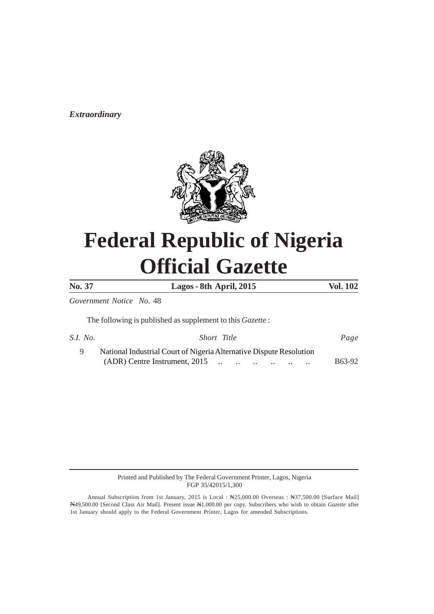*Extraordinary*



# **Federal Republic of Nigeria Official Gazette**

**No. 37 Lagos - 8th April, 2015 Vol. 102**

*Government Notice No.* 48

The following is published as supplement to this *Gazette* :

| S.I. No. | Short Title                                                         | Page          |
|----------|---------------------------------------------------------------------|---------------|
|          | National Industrial Court of Nigeria Alternative Dispute Resolution |               |
|          |                                                                     | <b>B63-92</b> |

Printed and Published by The Federal Government Printer, Lagos, Nigeria FGP 35/42015/1,300

Annual Subscription from 1st January, 2015 is Local : N25,000.00 Overseas : N37,500.00 [Surface Mail] N49,500.00 [Second Class Air Mail]. Present issue N1,000.00 per copy. Subscribers who wish to obtain *Gazette* after 1st January should apply to the Federal Government Printer, Lagos for amended Subscriptions.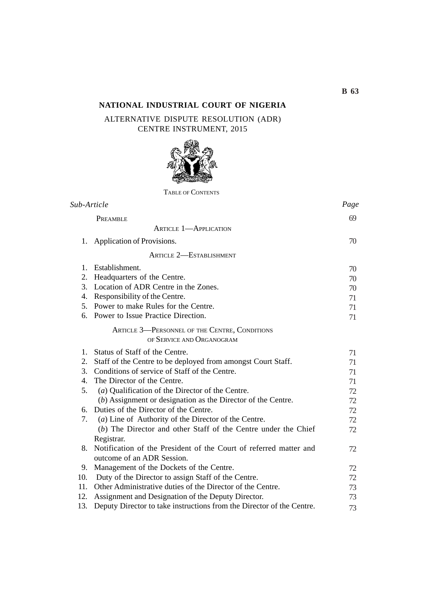# **NATIONAL INDUSTRIAL COURT OF NIGERIA**

# ALTERNATIVE DISPUTE RESOLUTION (ADR) CENTRE INSTRUMENT, 2015



TABLE OF CONTENTS

| Sub-Article    |                                                                            | Page |
|----------------|----------------------------------------------------------------------------|------|
|                | PREAMBLE                                                                   | 69   |
|                | <b>ARTICLE 1-APPLICATION</b>                                               |      |
| 1.             | Application of Provisions.                                                 | 70   |
|                | <b>ARTICLE 2-ESTABLISHMENT</b>                                             |      |
| $\mathbf{1}$ . | Establishment.                                                             | 70   |
| 2.             | Headquarters of the Centre.                                                | 70   |
|                | 3. Location of ADR Centre in the Zones.                                    | 70   |
|                | 4. Responsibility of the Centre.                                           | 71   |
|                | 5. Power to make Rules for the Centre.                                     | 71   |
| 6.             | Power to Issue Practice Direction.                                         | 71   |
|                | ARTICLE 3-PERSONNEL OF THE CENTRE, CONDITIONS<br>OF SERVICE AND ORGANOGRAM |      |
| $1_{-}$        | Status of Staff of the Centre.                                             | 71   |
| 2.             | Staff of the Centre to be deployed from amongst Court Staff.               | 71   |
|                | 3. Conditions of service of Staff of the Centre.                           | 71   |
| 4.             | The Director of the Centre.                                                | 71   |
| 5.             | (a) Qualification of the Director of the Centre.                           | 72   |
|                | (b) Assignment or designation as the Director of the Centre.               | 72   |
| 6.             | Duties of the Director of the Centre.                                      | 72   |
| 7.             | (a) Line of Authority of the Director of the Centre.                       | 72   |
|                | (b) The Director and other Staff of the Centre under the Chief             | 72   |
|                | Registrar.                                                                 |      |
| 8.             | Notification of the President of the Court of referred matter and          | 72   |
|                | outcome of an ADR Session.                                                 |      |
| 9.             | Management of the Dockets of the Centre.                                   | 72   |
|                | 10. Duty of the Director to assign Staff of the Centre.                    | 72   |
| 11.            | Other Administrative duties of the Director of the Centre.                 | 73   |
| 12.            | Assignment and Designation of the Deputy Director.                         | 73   |
| 13.            | Deputy Director to take instructions from the Director of the Centre.      | 73   |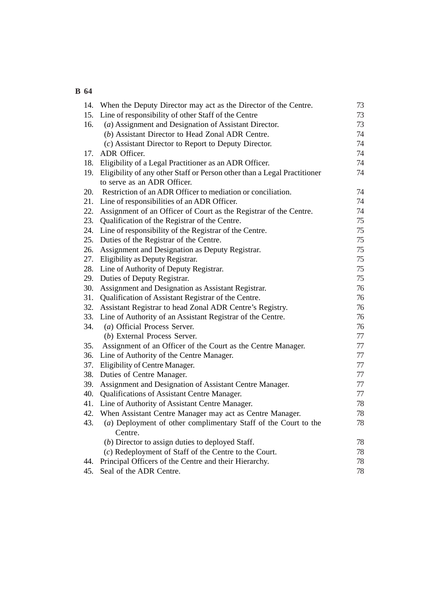|     | 14. When the Deputy Director may act as the Director of the Centre.      | 73 |
|-----|--------------------------------------------------------------------------|----|
| 15. | Line of responsibility of other Staff of the Centre                      | 73 |
| 16. | (a) Assignment and Designation of Assistant Director.                    | 73 |
|     | (b) Assistant Director to Head Zonal ADR Centre.                         | 74 |
|     | (c) Assistant Director to Report to Deputy Director.                     | 74 |
| 17. | ADR Officer.                                                             | 74 |
| 18. | Eligibility of a Legal Practitioner as an ADR Officer.                   | 74 |
| 19. | Eligibility of any other Staff or Person other than a Legal Practitioner | 74 |
|     | to serve as an ADR Officer.                                              |    |
| 20. | Restriction of an ADR Officer to mediation or conciliation.              | 74 |
| 21. | Line of responsibilities of an ADR Officer.                              | 74 |
| 22. | Assignment of an Officer of Court as the Registrar of the Centre.        | 74 |
| 23. | Qualification of the Registrar of the Centre.                            | 75 |
| 24. | Line of responsibility of the Registrar of the Centre.                   | 75 |
| 25. | Duties of the Registrar of the Centre.                                   | 75 |
| 26. | Assignment and Designation as Deputy Registrar.                          | 75 |
| 27. | Eligibility as Deputy Registrar.                                         | 75 |
| 28. | Line of Authority of Deputy Registrar.                                   | 75 |
| 29. | Duties of Deputy Registrar.                                              | 75 |
| 30. | Assignment and Designation as Assistant Registrar.                       | 76 |
| 31. | Qualification of Assistant Registrar of the Centre.                      | 76 |
| 32. | Assistant Registrar to head Zonal ADR Centre's Registry.                 | 76 |
| 33. | Line of Authority of an Assistant Registrar of the Centre.               | 76 |
| 34. | (a) Official Process Server.                                             | 76 |
|     | (b) External Process Server.                                             | 77 |
| 35. | Assignment of an Officer of the Court as the Centre Manager.             | 77 |
| 36. | Line of Authority of the Centre Manager.                                 | 77 |
| 37. | Eligibility of Centre Manager.                                           | 77 |
| 38. | Duties of Centre Manager.                                                | 77 |
| 39. | Assignment and Designation of Assistant Centre Manager.                  | 77 |
| 40. | Qualifications of Assistant Centre Manager.                              | 77 |
| 41. | Line of Authority of Assistant Centre Manager.                           | 78 |
| 42. | When Assistant Centre Manager may act as Centre Manager.                 | 78 |
| 43. | (a) Deployment of other complimentary Staff of the Court to the          | 78 |
|     | Centre.                                                                  |    |
|     | (b) Director to assign duties to deployed Staff.                         | 78 |
|     | (c) Redeployment of Staff of the Centre to the Court.                    | 78 |
| 44. | Principal Officers of the Centre and their Hierarchy.                    | 78 |
| 45. | Seal of the ADR Centre.                                                  | 78 |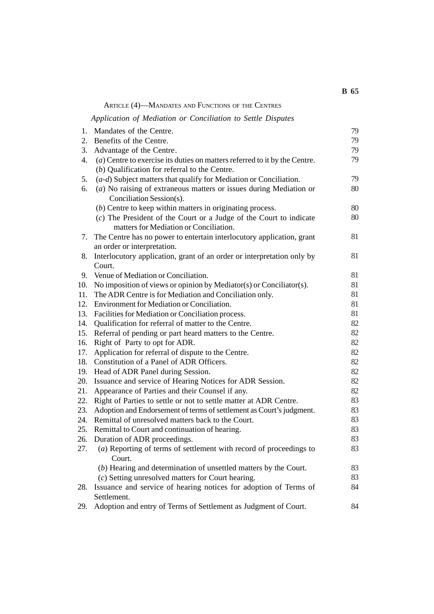|     |                                                                                | <b>B</b> 65 |
|-----|--------------------------------------------------------------------------------|-------------|
|     | ARTICLE (4)-MANDATES AND FUNCTIONS OF THE CENTRES                              |             |
|     | Application of Mediation or Conciliation to Settle Disputes                    |             |
| 1.  | Mandates of the Centre.                                                        | 79          |
| 2.  | Benefits of the Centre.                                                        | 79          |
| 3.  | Advantage of the Centre.                                                       | 79          |
| 4.  | $(a)$ Centre to exercise its duties on matters referred to it by the Centre.   | 79          |
|     | $(b)$ Qualification for referral to the Centre.                                |             |
| 5.  | $(a-d)$ Subject matters that qualify for Mediation or Conciliation.            | 79          |
| 6.  | $(a)$ No raising of extraneous matters or issues during Mediation or           | 80          |
|     | Conciliation Session(s).                                                       |             |
|     | (b) Centre to keep within matters in originating process.                      | 80          |
|     | (c) The President of the Court or a Judge of the Court to indicate             | 80          |
|     | matters for Mediation or Conciliation.                                         |             |
| 7.  | The Centre has no power to entertain interlocutory application, grant          | 81          |
|     | an order or interpretation.                                                    |             |
| 8.  | Interlocutory application, grant of an order or interpretation only by         | 81          |
|     | Court.                                                                         |             |
| 9.  | Venue of Mediation or Conciliation.                                            | 81          |
| 10. | No imposition of views or opinion by Mediator(s) or Conciliator(s).            | 81          |
| 11. | The ADR Centre is for Mediation and Conciliation only.                         | 81          |
| 12. | Environment for Mediation or Conciliation.                                     | 81          |
| 13. | Facilities for Mediation or Conciliation process.                              | 81          |
| 14. | Qualification for referral of matter to the Centre.                            | 82          |
| 15. | Referral of pending or part heard matters to the Centre.                       | 82          |
| 16. | Right of Party to opt for ADR.                                                 | 82          |
| 17. | Application for referral of dispute to the Centre.                             | 82          |
| 18. | Constitution of a Panel of ADR Officers.                                       | 82          |
| 19. | Head of ADR Panel during Session.                                              | 82          |
| 20. | Issuance and service of Hearing Notices for ADR Session.                       | 82          |
| 21. | Appearance of Parties and their Counsel if any.                                | 82          |
| 22. | Right of Parties to settle or not to settle matter at ADR Centre.              | 83          |
| 23. | Adoption and Endorsement of terms of settlement as Court's judgment.           | 83          |
| 24. | Remittal of unresolved matters back to the Court.                              | 83          |
| 25. | Remittal to Court and continuation of hearing.                                 | 83          |
| 26. | Duration of ADR proceedings.                                                   | 83          |
| 27. | (a) Reporting of terms of settlement with record of proceedings to<br>Court.   | 83          |
|     | $(b)$ Hearing and determination of unsettled matters by the Court.             | 83          |
|     | (c) Setting unresolved matters for Court hearing.                              | 83          |
| 28. | Issuance and service of hearing notices for adoption of Terms of               | 84          |
| 29. | Settlement.<br>Adoption and entry of Terms of Settlement as Judgment of Court. | 84          |
|     |                                                                                |             |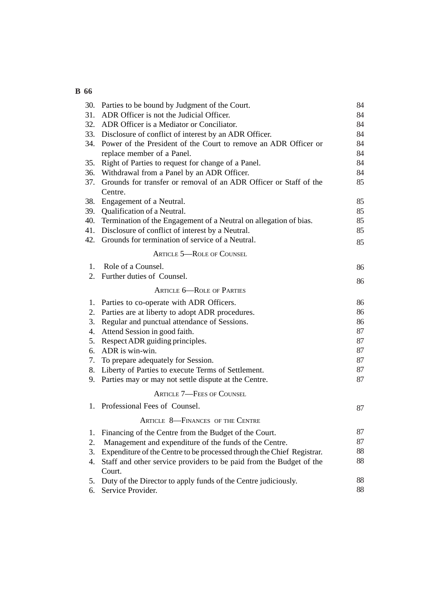| 30. | Parties to be bound by Judgment of the Court.                          | 84 |
|-----|------------------------------------------------------------------------|----|
| 31. | ADR Officer is not the Judicial Officer.                               | 84 |
| 32. | ADR Officer is a Mediator or Conciliator.                              | 84 |
| 33. | Disclosure of conflict of interest by an ADR Officer.                  | 84 |
| 34. | Power of the President of the Court to remove an ADR Officer or        | 84 |
|     | replace member of a Panel.                                             | 84 |
| 35. | Right of Parties to request for change of a Panel.                     | 84 |
| 36. | Withdrawal from a Panel by an ADR Officer.                             | 84 |
| 37. | Grounds for transfer or removal of an ADR Officer or Staff of the      | 85 |
|     | Centre.                                                                |    |
| 38. | Engagement of a Neutral.                                               | 85 |
| 39. | Qualification of a Neutral.                                            | 85 |
| 40. | Termination of the Engagement of a Neutral on allegation of bias.      | 85 |
| 41. | Disclosure of conflict of interest by a Neutral.                       | 85 |
| 42. | Grounds for termination of service of a Neutral.                       | 85 |
|     | <b>ARTICLE 5-ROLE OF COUNSEL</b>                                       |    |
| 1.  | Role of a Counsel.                                                     | 86 |
| 2.  | Further duties of Counsel.                                             | 86 |
|     | <b>ARTICLE 6-ROLE OF PARTIES</b>                                       |    |
| 1.  | Parties to co-operate with ADR Officers.                               | 86 |
| 2.  | Parties are at liberty to adopt ADR procedures.                        | 86 |
| 3.  | Regular and punctual attendance of Sessions.                           | 86 |
| 4.  | Attend Session in good faith.                                          | 87 |
| 5.  | Respect ADR guiding principles.                                        | 87 |
| 6.  | ADR is win-win.                                                        | 87 |
| 7.  | To prepare adequately for Session.                                     | 87 |
|     | 8. Liberty of Parties to execute Terms of Settlement.                  | 87 |
| 9.  | Parties may or may not settle dispute at the Centre.                   | 87 |
|     | <b>ARTICLE 7-FEES OF COUNSEL</b>                                       |    |
| 1.  | Professional Fees of Counsel.                                          | 87 |
|     | <b>ARTICLE 8-FINANCES OF THE CENTRE</b>                                |    |
| 1.  | Financing of the Centre from the Budget of the Court.                  | 87 |
| 2.  | Management and expenditure of the funds of the Centre.                 | 87 |
| 3.  | Expenditure of the Centre to be processed through the Chief Registrar. | 88 |
| 4.  | Staff and other service providers to be paid from the Budget of the    | 88 |
|     | Court.                                                                 |    |
| 5.  | Duty of the Director to apply funds of the Centre judiciously.         | 88 |
| 6.  | Service Provider.                                                      | 88 |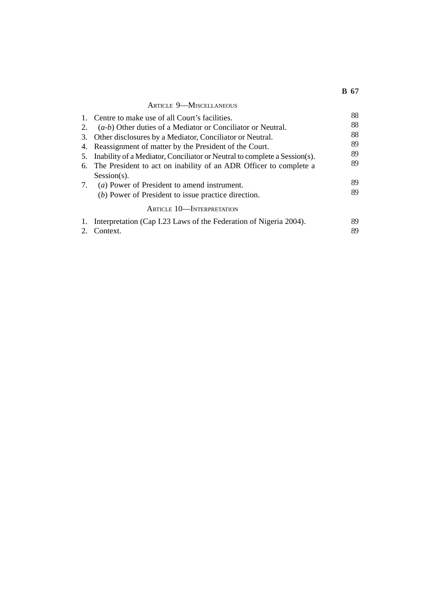|    | <b>ARTICLE 9-MISCELLANEOUS</b>                                            |    |
|----|---------------------------------------------------------------------------|----|
|    | 1. Centre to make use of all Court's facilities.                          | 88 |
| 2. | $(a-b)$ Other duties of a Mediator or Conciliator or Neutral.             | 88 |
| 3. | Other disclosures by a Mediator, Conciliator or Neutral.                  | 88 |
| 4. | Reassignment of matter by the President of the Court.                     | 89 |
| 5. | Inability of a Mediator, Conciliator or Neutral to complete a Session(s). | 89 |
|    | 6. The President to act on inability of an ADR Officer to complete a      | 89 |
|    | $Session(s)$ .                                                            |    |
|    | 7. <i>(a)</i> Power of President to amend instrument.                     | 89 |
|    | (b) Power of President to issue practice direction.                       | 89 |
|    | ARTICLE 10-INTERPRETATION                                                 |    |
| 1. | Interpretation (Cap I.23 Laws of the Federation of Nigeria 2004).         | 89 |
|    | Context.                                                                  | 89 |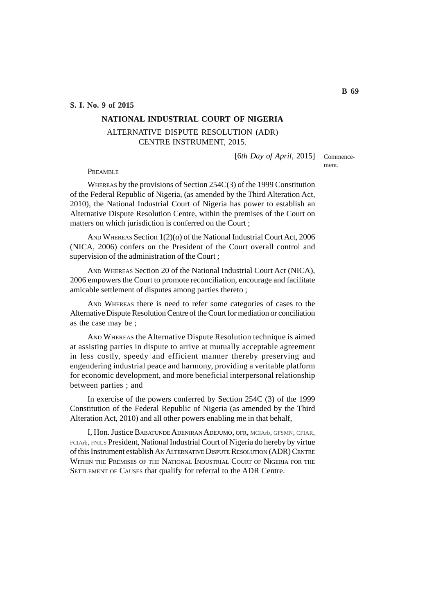#### **S. I. No. 9 of 2015**

# **NATIONAL INDUSTRIAL COURT OF NIGERIA**

# ALTERNATIVE DISPUTE RESOLUTION (ADR) CENTRE INSTRUMENT, 2015.

[6th Day of April, 2015] Commence-

ment.

PREAMBLE

WHEREAS by the provisions of Section 254C(3) of the 1999 Constitution of the Federal Republic of Nigeria, (as amended by the Third Alteration Act, 2010), the National Industrial Court of Nigeria has power to establish an Alternative Dispute Resolution Centre, within the premises of the Court on matters on which jurisdiction is conferred on the Court ;

AND WHEREAS Section 1(2)(*a*) of the National Industrial Court Act, 2006 (NICA, 2006) confers on the President of the Court overall control and supervision of the administration of the Court ;

AND WHEREAS Section 20 of the National Industrial Court Act (NICA), 2006 empowers the Court to promote reconciliation, encourage and facilitate amicable settlement of disputes among parties thereto ;

AND WHEREAS there is need to refer some categories of cases to the Alternative Dispute Resolution Centre of the Court for mediation or conciliation as the case may be ;

AND WHEREAS the Alternative Dispute Resolution technique is aimed at assisting parties in dispute to arrive at mutually acceptable agreement in less costly, speedy and efficient manner thereby preserving and engendering industrial peace and harmony, providing a veritable platform for economic development, and more beneficial interpersonal relationship between parties ; and

In exercise of the powers conferred by Section 254C (3) of the 1999 Constitution of the Federal Republic of Nigeria (as amended by the Third Alteration Act, 2010) and all other powers enabling me in that behalf,

I, Hon. Justice BABATUNDE ADENIRAN ADEJUMO, OFR, MCIArb, GFSMN, CFIAR, FCIArb, FNILS President, National Industrial Court of Nigeria do hereby by virtue of this Instrument establish AN ALTERNATIVE DISPUTE RESOLUTION (ADR) CENTRE WITHIN THE PREMISES OF THE NATIONAL INDUSTRIAL COURT OF NIGERIA FOR THE SETTLEMENT OF CAUSES that qualify for referral to the ADR Centre.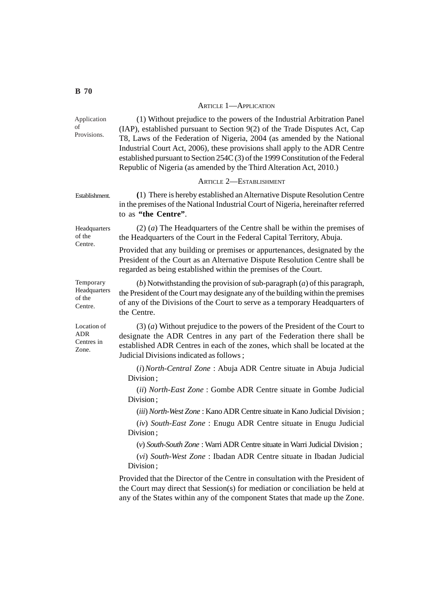#### ARTICLE 1—APPLICATION

(1) Without prejudice to the powers of the Industrial Arbitration Panel (IAP), established pursuant to Section 9(2) of the Trade Disputes Act, Cap T8, Laws of the Federation of Nigeria, 2004 (as amended by the National Industrial Court Act, 2006), these provisions shall apply to the ADR Centre established pursuant to Section 254C (3) of the 1999 Constitution of the Federal Republic of Nigeria (as amended by the Third Alteration Act, 2010.) ARTICLE 2—ESTABLISHMENT **(**1) There is hereby established an Alternative Dispute Resolution Centre in the premises of the National Industrial Court of Nigeria, hereinafter referred to as **"the Centre"**. (2) (*a*) The Headquarters of the Centre shall be within the premises of the Headquarters of the Court in the Federal Capital Territory, Abuja. Provided that any building or premises or appurtenances, designated by the President of the Court as an Alternative Dispute Resolution Centre shall be regarded as being established within the premises of the Court. (*b*) Notwithstanding the provision of sub-paragraph (*a*) of this paragraph, the President of the Court may designate any of the building within the premises of any of the Divisions of the Court to serve as a temporary Headquarters of the Centre. (3) (*a*) Without prejudice to the powers of the President of the Court to designate the ADR Centres in any part of the Federation there shall be established ADR Centres in each of the zones, which shall be located at the Judicial Divisions indicated as follows ; (*i*)*North-Central Zone* : Abuja ADR Centre situate in Abuja Judicial Division ; (*ii*) *North-East Zone* : Gombe ADR Centre situate in Gombe Judicial Division ; (*iii*) *North-West Zone* : Kano ADR Centre situate in Kano Judicial Division ; (*iv*) *South-East Zone* : Enugu ADR Centre situate in Enugu Judicial Division ; (*v*) *South-South Zone* : Warri ADR Centre situate in Warri Judicial Division ; (*vi*) *South-West Zone* : Ibadan ADR Centre situate in Ibadan Judicial Division ; Provided that the Director of the Centre in consultation with the President of the Court may direct that Session(s) for mediation or conciliation be held at any of the States within any of the component States that made up the Zone. Application of Provisions. Establishment. Headquarters of the Centre. Temporary Headquarters of the Centre. Location of ADR Centres in Zone.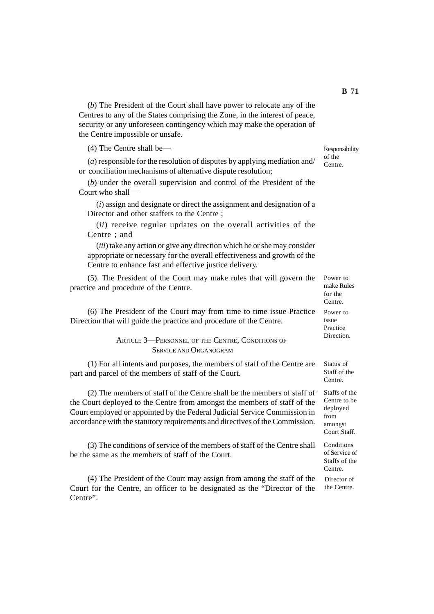(*b*) The President of the Court shall have power to relocate any of the Centres to any of the States comprising the Zone, in the interest of peace, security or any unforeseen contingency which may make the operation of the Centre impossible or unsafe.

(4) The Centre shall be—

(*a*) responsible for the resolution of disputes by applying mediation and/ or conciliation mechanisms of alternative dispute resolution;

(*b*) under the overall supervision and control of the President of the Court who shall—

(*i*) assign and designate or direct the assignment and designation of a Director and other staffers to the Centre ;

(*ii*) receive regular updates on the overall activities of the Centre ; and

(*iii*) take any action or give any direction which he or she may consider appropriate or necessary for the overall effectiveness and growth of the Centre to enhance fast and effective justice delivery.

(5). The President of the Court may make rules that will govern the practice and procedure of the Centre.

(6) The President of the Court may from time to time issue Practice Direction that will guide the practice and procedure of the Centre.

# ARTICLE 3—PERSONNEL OF THE CENTRE, CONDITIONS OF SERVICE AND ORGANOGRAM

(1) For all intents and purposes, the members of staff of the Centre are part and parcel of the members of staff of the Court.

(2) The members of staff of the Centre shall be the members of staff of the Court deployed to the Centre from amongst the members of staff of the Court employed or appointed by the Federal Judicial Service Commission in accordance with the statutory requirements and directives of the Commission.

(3) The conditions of service of the members of staff of the Centre shall be the same as the members of staff of the Court.

(4) The President of the Court may assign from among the staff of the Court for the Centre, an officer to be designated as the "Director of the Centre".

Responsibility of the Centre.

Power to make Rules for the Centre. Power to issue Practice Direction.

Status of Staff of the Centre.

Staffs of the Centre to be deployed from amongst Court Staff.

Conditions of Service of Staffs of the Centre.

Director of the Centre.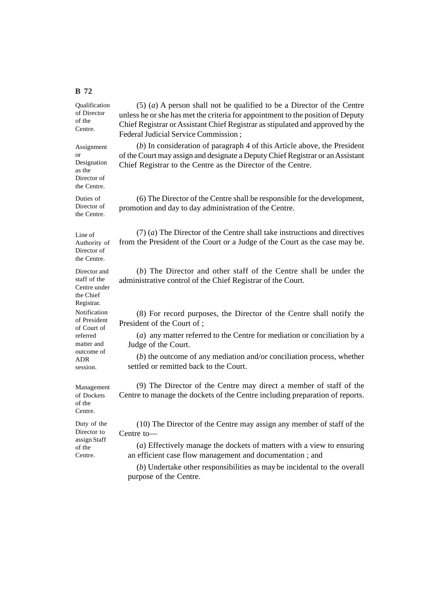Qualification of Director of the Centre.

Assignment or Designation as the Director of the Centre.

Duties of Director of the Centre.

Line of Authority of Director of the Centre.

Director and staff of the Centre under the Chief Registrar. Notification of President of Court of referred matter and outcome of ADR session.

Management of Dockets of the Centre.

Duty of the Director to assign Staff of the Centre.

(5) (*a*) A person shall not be qualified to be a Director of the Centre unless he or she has met the criteria for appointment to the position of Deputy Chief Registrar or Assistant Chief Registrar as stipulated and approved by the Federal Judicial Service Commission ;

(*b*) In consideration of paragraph 4 of this Article above, the President of the Court may assign and designate a Deputy Chief Registrar or an Assistant Chief Registrar to the Centre as the Director of the Centre.

(6) The Director of the Centre shall be responsible for the development, promotion and day to day administration of the Centre.

(7) (*a*) The Director of the Centre shall take instructions and directives from the President of the Court or a Judge of the Court as the case may be.

(*b*) The Director and other staff of the Centre shall be under the administrative control of the Chief Registrar of the Court.

(8) For record purposes, the Director of the Centre shall notify the President of the Court of ;

(*a*) any matter referred to the Centre for mediation or conciliation by a Judge of the Court.

(*b*) the outcome of any mediation and/or conciliation process, whether settled or remitted back to the Court.

(9) The Director of the Centre may direct a member of staff of the Centre to manage the dockets of the Centre including preparation of reports.

(10) The Director of the Centre may assign any member of staff of the Centre to—

(*a*) Effectively manage the dockets of matters with a view to ensuring an efficient case flow management and documentation ; and

(*b*) Undertake other responsibilities as may be incidental to the overall purpose of the Centre.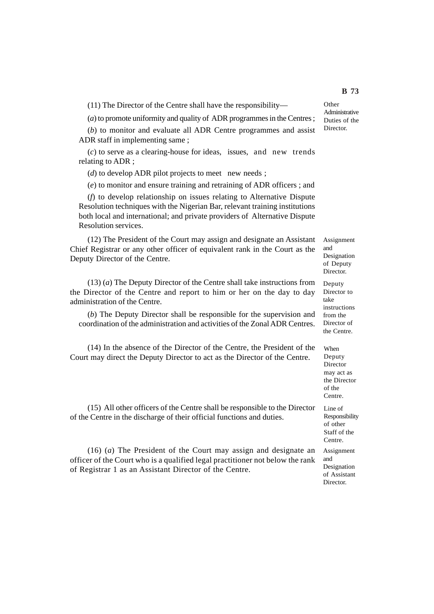(11) The Director of the Centre shall have the responsibility—

(*a*) to promote uniformity and quality of ADR programmes in the Centres ;

(*b*) to monitor and evaluate all ADR Centre programmes and assist ADR staff in implementing same ;

(*c*) to serve as a clearing-house for ideas, issues, and new trends relating to ADR ;

(*d*) to develop ADR pilot projects to meet new needs;

(*e*) to monitor and ensure training and retraining of ADR officers ; and

(*f*) to develop relationship on issues relating to Alternative Dispute Resolution techniques with the Nigerian Bar, relevant training institutions both local and international; and private providers of Alternative Dispute Resolution services.

(12) The President of the Court may assign and designate an Assistant Chief Registrar or any other officer of equivalent rank in the Court as the Deputy Director of the Centre.

(13) (*a*) The Deputy Director of the Centre shall take instructions from the Director of the Centre and report to him or her on the day to day administration of the Centre.

(*b*) The Deputy Director shall be responsible for the supervision and coordination of the administration and activities of the Zonal ADR Centres.

(14) In the absence of the Director of the Centre, the President of the Court may direct the Deputy Director to act as the Director of the Centre.

(15) All other officers of the Centre shall be responsible to the Director of the Centre in the discharge of their official functions and duties.

(16) (*a*) The President of the Court may assign and designate an officer of the Court who is a qualified legal practitioner not below the rank of Registrar 1 as an Assistant Director of the Centre.

**Other** Administrative Duties of the **Director** 

Assignment and Designation of Deputy Director.

Deputy Director to take instructions from the Director of the Centre.

When Deputy Director may act as the Director of the Centre.

Line of Responsibility of other Staff of the Centre.

Assignment and Designation of Assistant **Director**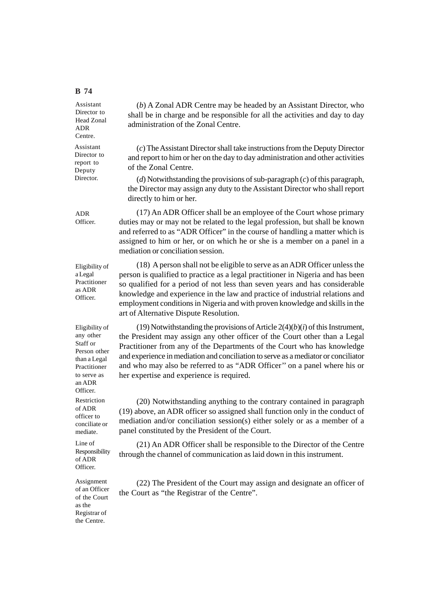Assistant Director to Head Zonal ADR Centre.

Assistant Director to report to Deputy Director.

ADR Officer.

(17) An ADR Officer shall be an employee of the Court whose primary duties may or may not be related to the legal profession, but shall be known and referred to as "ADR Officer" in the course of handling a matter which is assigned to him or her, or on which he or she is a member on a panel in a mediation or conciliation session.

(*b*) A Zonal ADR Centre may be headed by an Assistant Director, who shall be in charge and be responsible for all the activities and day to day

(*c*) The Assistant Director shall take instructions from the Deputy Director and report to him or her on the day to day administration and other activities

(*d*) Notwithstanding the provisions of sub-paragraph (*c*) of this paragraph, the Director may assign any duty to the Assistant Director who shall report

administration of the Zonal Centre.

of the Zonal Centre.

directly to him or her.

Eligibility of a Legal Practitioner as ADR Officer.

(18) A person shall not be eligible to serve as an ADR Officer unless the person is qualified to practice as a legal practitioner in Nigeria and has been so qualified for a period of not less than seven years and has considerable knowledge and experience in the law and practice of industrial relations and employment conditions in Nigeria and with proven knowledge and skills in the art of Alternative Dispute Resolution.

Eligibility of any other Staff or Person other than a Legal Practitioner to serve as an ADR **Officer** 

Restriction of ADR officer to conciliate or mediate.

Line of Responsibility of ADR Officer.

Assignment of an Officer of the Court as the Registrar of the Centre.

(19) Notwithstanding the provisions of Article 2(4)(*b*)(*i*) of this Instrument, the President may assign any other officer of the Court other than a Legal Practitioner from any of the Departments of the Court who has knowledge and experience in mediation and conciliation to serve as a mediator or conciliator and who may also be referred to as "ADR Officer'' on a panel where his or her expertise and experience is required.

(20) Notwithstanding anything to the contrary contained in paragraph (19) above, an ADR officer so assigned shall function only in the conduct of mediation and/or conciliation session(s) either solely or as a member of a panel constituted by the President of the Court.

(21) An ADR Officer shall be responsible to the Director of the Centre through the channel of communication as laid down in this instrument.

(22) The President of the Court may assign and designate an officer of the Court as "the Registrar of the Centre".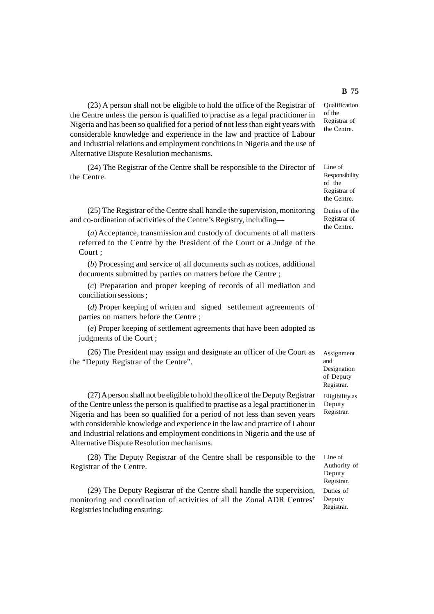(23) A person shall not be eligible to hold the office of the Registrar of the Centre unless the person is qualified to practise as a legal practitioner in Nigeria and has been so qualified for a period of not less than eight years with considerable knowledge and experience in the law and practice of Labour and Industrial relations and employment conditions in Nigeria and the use of Alternative Dispute Resolution mechanisms.

(24) The Registrar of the Centre shall be responsible to the Director of the Centre.

(25) The Registrar of the Centre shall handle the supervision, monitoring and co-ordination of activities of the Centre's Registry, including—

(*a*) Acceptance, transmission and custody of documents of all matters referred to the Centre by the President of the Court or a Judge of the Court ;

(*b*) Processing and service of all documents such as notices, additional documents submitted by parties on matters before the Centre ;

(*c*) Preparation and proper keeping of records of all mediation and conciliation sessions ;

(*d*) Proper keeping of written and signed settlement agreements of parties on matters before the Centre ;

(*e*) Proper keeping of settlement agreements that have been adopted as judgments of the Court ;

(26) The President may assign and designate an officer of the Court as the "Deputy Registrar of the Centre".

(27) A person shall not be eligible to hold the office of the Deputy Registrar of the Centre unless the person is qualified to practise as a legal practitioner in Nigeria and has been so qualified for a period of not less than seven years

and Industrial relations and employment conditions in Nigeria and the use of Alternative Dispute Resolution mechanisms. (28) The Deputy Registrar of the Centre shall be responsible to the

with considerable knowledge and experience in the law and practice of Labour

Registrar of the Centre.

(29) The Deputy Registrar of the Centre shall handle the supervision, monitoring and coordination of activities of all the Zonal ADR Centres' Registries including ensuring:

Line of Responsibility of the

the Centre. Duties of the Registrar of the Centre.

Registrar of

Assignment and Designation of Deputy Registrar.

Eligibility as Deputy Registrar.

Line of Authority of Deputy Registrar. Duties of Deputy Registrar.

# **B 75**

Qualification of the Registrar of the Centre.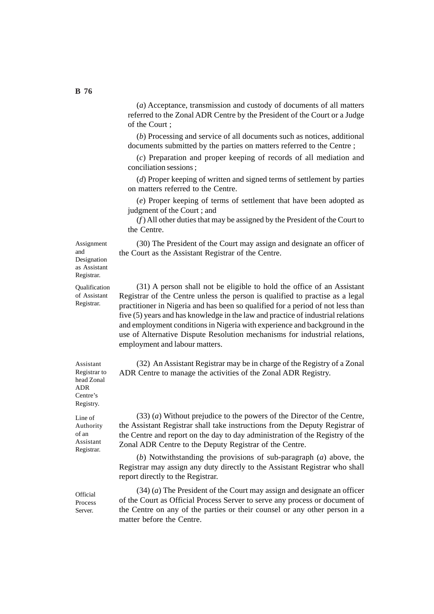(*a*) Acceptance, transmission and custody of documents of all matters referred to the Zonal ADR Centre by the President of the Court or a Judge of the Court ;

(*b*) Processing and service of all documents such as notices, additional documents submitted by the parties on matters referred to the Centre ;

(*c*) Preparation and proper keeping of records of all mediation and conciliation sessions ;

(*d*) Proper keeping of written and signed terms of settlement by parties on matters referred to the Centre.

(*e*) Proper keeping of terms of settlement that have been adopted as judgment of the Court ; and

(*f* ) All other duties that may be assigned by the President of the Court to the Centre.

(30) The President of the Court may assign and designate an officer of the Court as the Assistant Registrar of the Centre.

Assignment and Designation as Assistant Registrar.

**Qualification** of Assistant Registrar.

(31) A person shall not be eligible to hold the office of an Assistant Registrar of the Centre unless the person is qualified to practise as a legal practitioner in Nigeria and has been so qualified for a period of not less than five (5) years and has knowledge in the law and practice of industrial relations and employment conditions in Nigeria with experience and background in the use of Alternative Dispute Resolution mechanisms for industrial relations, employment and labour matters.

(32) An Assistant Registrar may be in charge of the Registry of a Zonal ADR Centre to manage the activities of the Zonal ADR Registry.

(33) (*a*) Without prejudice to the powers of the Director of the Centre, the Assistant Registrar shall take instructions from the Deputy Registrar of the Centre and report on the day to day administration of the Registry of the Zonal ADR Centre to the Deputy Registrar of the Centre.

(*b*) Notwithstanding the provisions of sub-paragraph (*a*) above, the Registrar may assign any duty directly to the Assistant Registrar who shall report directly to the Registrar.

(34) (*a*) The President of the Court may assign and designate an officer of the Court as Official Process Server to serve any process or document of the Centre on any of the parties or their counsel or any other person in a matter before the Centre.

Registrar to head Zonal ADR Centre's Registry.

Assistant

Line of Authority of an Assistant Registrar.

**Official Process** Server.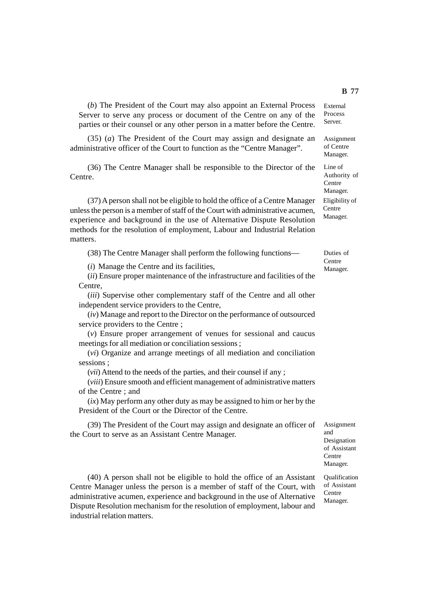(*b*) The President of the Court may also appoint an External Process Server to serve any process or document of the Centre on any of the parties or their counsel or any other person in a matter before the Centre.

(35) (*a*) The President of the Court may assign and designate an administrative officer of the Court to function as the "Centre Manager".

(36) The Centre Manager shall be responsible to the Director of the Centre.

(37) A person shall not be eligible to hold the office of a Centre Manager unless the person is a member of staff of the Court with administrative acumen, experience and background in the use of Alternative Dispute Resolution methods for the resolution of employment, Labour and Industrial Relation matters.

(38) The Centre Manager shall perform the following functions—

(*i*) Manage the Centre and its facilities,

(*ii*) Ensure proper maintenance of the infrastructure and facilities of the Centre,

(*iii*) Supervise other complementary staff of the Centre and all other independent service providers to the Centre,

(*iv*) Manage and report to the Director on the performance of outsourced service providers to the Centre ;

(*v*) Ensure proper arrangement of venues for sessional and caucus meetings for all mediation or conciliation sessions ;

(*vi*) Organize and arrange meetings of all mediation and conciliation sessions ;

(*vii*) Attend to the needs of the parties, and their counsel if any ;

(*viii*) Ensure smooth and efficient management of administrative matters of the Centre ; and

(*ix*) May perform any other duty as may be assigned to him or her by the President of the Court or the Director of the Centre.

(39) The President of the Court may assign and designate an officer of the Court to serve as an Assistant Centre Manager.

(40) A person shall not be eligible to hold the office of an Assistant Centre Manager unless the person is a member of staff of the Court, with administrative acumen, experience and background in the use of Alternative Dispute Resolution mechanism for the resolution of employment, labour and industrial relation matters.

External Process Server.

Assignment of Centre Manager.

Line of Authority of Centre Manager. Eligibility of Centre Manager.

Duties of Centre Manager.

Assignment and Designation of Assistant Centre Manager.

Qualification of Assistant Centre Manager.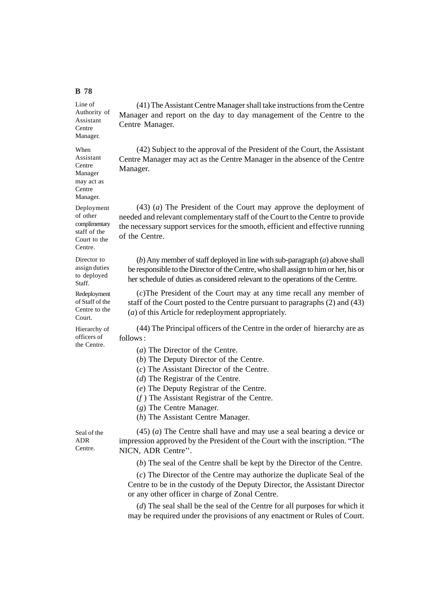Line of Authority of Assistant **Centre** Manager.

When Assistant Centre Manager may act as Centre Manager.

Deployment of other complimentary staff of the Court to the Centre.

Director to assign duties to deployed Staff.

Redeployment of Staff of the Centre to the Court.

Hierarchy of officers of the Centre.

(41) The Assistant Centre Manager shall take instructions from the Centre Manager and report on the day to day management of the Centre to the Centre Manager.

(42) Subject to the approval of the President of the Court, the Assistant Centre Manager may act as the Centre Manager in the absence of the Centre Manager.

(43) (*a*) The President of the Court may approve the deployment of needed and relevant complementary staff of the Court to the Centre to provide the necessary support services for the smooth, efficient and effective running of the Centre.

(*b*) Any member of staff deployed in line with sub-paragraph (*a*) above shall be responsible to the Director of the Centre, who shall assign to him or her, his or her schedule of duties as considered relevant to the operations of the Centre.

(*c*)The President of the Court may at any time recall any member of staff of the Court posted to the Centre pursuant to paragraphs (2) and (43) (*a*) of this Article for redeployment appropriately.

(44) The Principal officers of the Centre in the order of hierarchy are as follows :

(*a*) The Director of the Centre.

(*b*) The Deputy Director of the Centre.

(*c*) The Assistant Director of the Centre.

(*d*) The Registrar of the Centre.

(*e*) The Deputy Registrar of the Centre.

(*f* ) The Assistant Registrar of the Centre.

(*g*) The Centre Manager.

(*h*) The Assistant Centre Manager.

Seal of the ADR Centre.

(45) (*a*) The Centre shall have and may use a seal bearing a device or impression approved by the President of the Court with the inscription. "The NICN, ADR Centre''.

(*b*) The seal of the Centre shall be kept by the Director of the Centre.

(*c*) The Director of the Centre may authorize the duplicate Seal of the Centre to be in the custody of the Deputy Director, the Assistant Director or any other officer in charge of Zonal Centre.

(*d*) The seal shall be the seal of the Centre for all purposes for which it may be required under the provisions of any enactment or Rules of Court.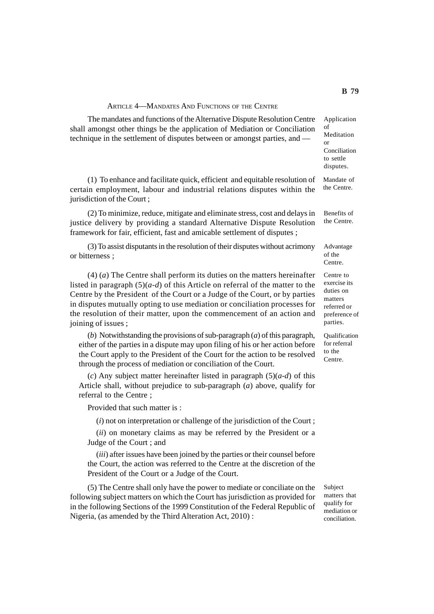#### ARTICLE 4—MANDATES AND FUNCTIONS OF THE CENTRE

**B 79**

The mandates and functions of the Alternative Dispute Resolution Centre shall amongst other things be the application of Mediation or Conciliation technique in the settlement of disputes between or amongst parties, and — Application of Meditation or Conciliation to settle disputes.

(1) To enhance and facilitate quick, efficient and equitable resolution of certain employment, labour and industrial relations disputes within the jurisdiction of the Court ;

(2) To minimize, reduce, mitigate and eliminate stress, cost and delays in justice delivery by providing a standard Alternative Dispute Resolution framework for fair, efficient, fast and amicable settlement of disputes ;

(3) To assist disputants in the resolution of their disputes without acrimony or bitterness ;

(4) (*a*) The Centre shall perform its duties on the matters hereinafter listed in paragraph (5)(*a-d*) of this Article on referral of the matter to the Centre by the President of the Court or a Judge of the Court, or by parties in disputes mutually opting to use mediation or conciliation processes for the resolution of their matter, upon the commencement of an action and joining of issues ;

(*b*) Notwithstanding the provisions of sub-paragraph (*a*) of this paragraph, either of the parties in a dispute may upon filing of his or her action before the Court apply to the President of the Court for the action to be resolved through the process of mediation or conciliation of the Court.

(*c*) Any subject matter hereinafter listed in paragraph (5)(*a-d*) of this Article shall, without prejudice to sub-paragraph (*a*) above, qualify for referral to the Centre ;

Provided that such matter is :

(*i*) not on interpretation or challenge of the jurisdiction of the Court ;

(*ii*) on monetary claims as may be referred by the President or a Judge of the Court ; and

(*iii*) after issues have been joined by the parties or their counsel before the Court, the action was referred to the Centre at the discretion of the President of the Court or a Judge of the Court.

(5) The Centre shall only have the power to mediate or conciliate on the following subject matters on which the Court has jurisdiction as provided for in the following Sections of the 1999 Constitution of the Federal Republic of Nigeria, (as amended by the Third Alteration Act, 2010) :

Subject matters that qualify for mediation or conciliation.

Mandate of the Centre. Benefits of

the Centre.

Advantage of the Centre.

Centre to exercise its duties on matters referred or preference of parties.

Qualification for referral to the Centre.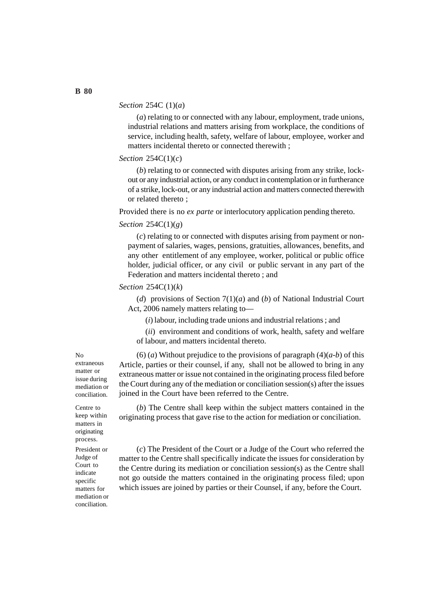## *Section* 254C (1)(*a*)

(*a*) relating to or connected with any labour, employment, trade unions, industrial relations and matters arising from workplace, the conditions of service, including health, safety, welfare of labour, employee, worker and matters incidental thereto or connected therewith ;

## *Section* 254C(1)(*c*)

(*b*) relating to or connected with disputes arising from any strike, lockout or any industrial action, or any conduct in contemplation or in furtherance of a strike, lock-out, or any industrial action and matters connected therewith or related thereto ;

Provided there is no *ex parte* or interlocutory application pending thereto.

#### *Section* 254C(1)(*g*)

(*c*) relating to or connected with disputes arising from payment or nonpayment of salaries, wages, pensions, gratuities, allowances, benefits, and any other entitlement of any employee, worker, political or public office holder, judicial officer, or any civil or public servant in any part of the Federation and matters incidental thereto ; and

## *Section* 254C(1)(*k*)

(*d*) provisions of Section 7(1)(*a*) and (*b*) of National Industrial Court Act, 2006 namely matters relating to—

(*i*) labour, including trade unions and industrial relations ; and

(*ii*) environment and conditions of work, health, safety and welfare of labour, and matters incidental thereto.

(6) (*a*) Without prejudice to the provisions of paragraph  $(4)(a-b)$  of this Article, parties or their counsel, if any, shall not be allowed to bring in any extraneous matter or issue not contained in the originating process filed before the Court during any of the mediation or conciliation session(s) after the issues joined in the Court have been referred to the Centre.

(*b*) The Centre shall keep within the subject matters contained in the originating process that gave rise to the action for mediation or conciliation.

(*c*) The President of the Court or a Judge of the Court who referred the matter to the Centre shall specifically indicate the issues for consideration by the Centre during its mediation or conciliation session(s) as the Centre shall not go outside the matters contained in the originating process filed; upon which issues are joined by parties or their Counsel, if any, before the Court.

No extraneous matter or issue during mediation or conciliation.

Centre to keep within matters in originating process. President or Judge of Court to indicate specific matters for mediation or conciliation.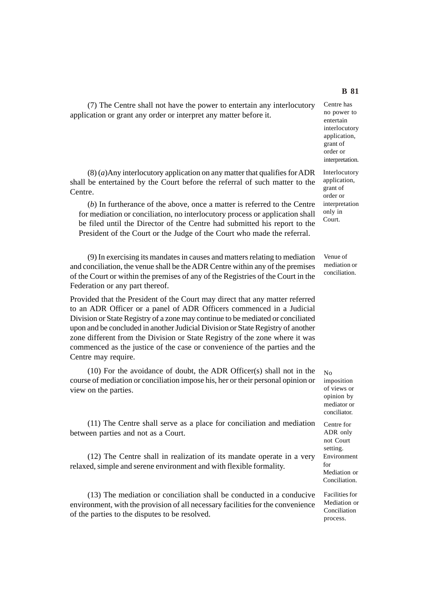(7) The Centre shall not have the power to entertain any interlocutory application or grant any order or interpret any matter before it.

# (8) (*a*)Any interlocutory application on any matter that qualifies for ADR shall be entertained by the Court before the referral of such matter to the Centre.

(*b*) In furtherance of the above, once a matter is referred to the Centre for mediation or conciliation, no interlocutory process or application shall be filed until the Director of the Centre had submitted his report to the President of the Court or the Judge of the Court who made the referral.

(9) In exercising its mandates in causes and matters relating to mediation and conciliation, the venue shall be the ADR Centre within any of the premises of the Court or within the premises of any of the Registries of the Court in the Federation or any part thereof.

Provided that the President of the Court may direct that any matter referred to an ADR Officer or a panel of ADR Officers commenced in a Judicial Division or State Registry of a zone may continue to be mediated or conciliated upon and be concluded in another Judicial Division or State Registry of another zone different from the Division or State Registry of the zone where it was commenced as the justice of the case or convenience of the parties and the Centre may require.

(10) For the avoidance of doubt, the ADR Officer(s) shall not in the course of mediation or conciliation impose his, her or their personal opinion or view on the parties.

(11) The Centre shall serve as a place for conciliation and mediation between parties and not as a Court.

(12) The Centre shall in realization of its mandate operate in a very relaxed, simple and serene environment and with flexible formality.

(13) The mediation or conciliation shall be conducted in a conducive environment, with the provision of all necessary facilities for the convenience of the parties to the disputes to be resolved.

Centre has no power to entertain interlocutory application, grant of order or interpretation.

Interlocutory application, grant of order or interpretation only in Court.

Venue of mediation or conciliation.

No imposition of views or opinion by mediator or conciliator.

Centre for ADR only not Court setting. Environment for Mediation or Conciliation.

Facilities for Mediation or Conciliation process.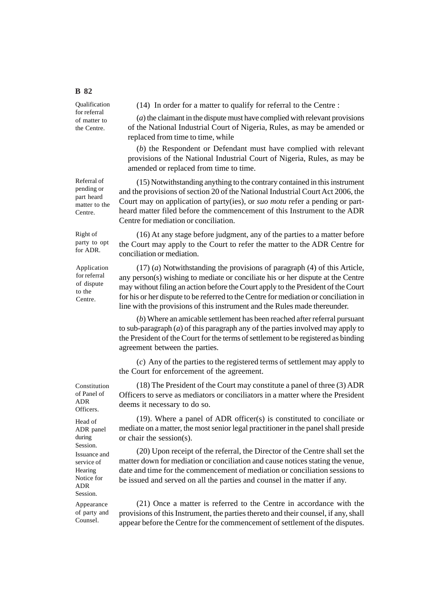Qualification for referral of matter to the Centre.

Referral of pending or part heard matter to the Centre.

Right of party to opt for ADR.

Application for referral of dispute to the Centre.

**B 82**

(14) In order for a matter to qualify for referral to the Centre :

(*a*) the claimant in the dispute must have complied with relevant provisions of the National Industrial Court of Nigeria, Rules, as may be amended or replaced from time to time, while

(*b*) the Respondent or Defendant must have complied with relevant provisions of the National Industrial Court of Nigeria, Rules, as may be amended or replaced from time to time.

(15) Notwithstanding anything to the contrary contained in this instrument and the provisions of section 20 of the National Industrial Court Act 2006, the Court may on application of party(ies), or *suo motu* refer a pending or partheard matter filed before the commencement of this Instrument to the ADR Centre for mediation or conciliation.

(16) At any stage before judgment, any of the parties to a matter before the Court may apply to the Court to refer the matter to the ADR Centre for conciliation or mediation.

(17) (*a*) Notwithstanding the provisions of paragraph (4) of this Article, any person(s) wishing to mediate or conciliate his or her dispute at the Centre may without filing an action before the Court apply to the President of the Court for his or her dispute to be referred to the Centre for mediation or conciliation in line with the provisions of this instrument and the Rules made thereunder.

(*b*) Where an amicable settlement has been reached after referral pursuant to sub-paragraph (*a*) of this paragraph any of the parties involved may apply to the President of the Court for the terms of settlement to be registered as binding agreement between the parties.

(*c*) Any of the parties to the registered terms of settlement may apply to the Court for enforcement of the agreement.

(18) The President of the Court may constitute a panel of three (3) ADR Officers to serve as mediators or conciliators in a matter where the President deems it necessary to do so.

(19). Where a panel of ADR officer(s) is constituted to conciliate or mediate on a matter, the most senior legal practitioner in the panel shall preside or chair the session(s).

(20) Upon receipt of the referral, the Director of the Centre shall set the matter down for mediation or conciliation and cause notices stating the venue, date and time for the commencement of mediation or conciliation sessions to be issued and served on all the parties and counsel in the matter if any.

(21) Once a matter is referred to the Centre in accordance with the provisions of this Instrument, the parties thereto and their counsel, if any, shall appear before the Centre for the commencement of settlement of the disputes.

Constitution of Panel of ADR **Officers** 

Head of ADR panel during Session. Issuance and service of **Hearing** Notice for ADR Session.

Appearance of party and Counsel.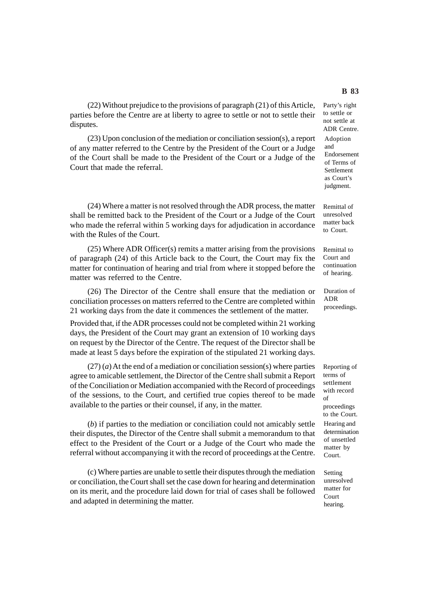(22) Without prejudice to the provisions of paragraph (21) of this Article, parties before the Centre are at liberty to agree to settle or not to settle their disputes.

(23) Upon conclusion of the mediation or conciliation session(s), a report of any matter referred to the Centre by the President of the Court or a Judge of the Court shall be made to the President of the Court or a Judge of the Court that made the referral.

(24) Where a matter is not resolved through the ADR process, the matter shall be remitted back to the President of the Court or a Judge of the Court who made the referral within 5 working days for adjudication in accordance with the Rules of the Court.

(25) Where ADR Officer(s) remits a matter arising from the provisions of paragraph (24) of this Article back to the Court, the Court may fix the matter for continuation of hearing and trial from where it stopped before the matter was referred to the Centre.

(26) The Director of the Centre shall ensure that the mediation or conciliation processes on matters referred to the Centre are completed within 21 working days from the date it commences the settlement of the matter.

Provided that, if the ADR processes could not be completed within 21 working days, the President of the Court may grant an extension of 10 working days on request by the Director of the Centre. The request of the Director shall be made at least 5 days before the expiration of the stipulated 21 working days.

 $(27)$  (*a*) At the end of a mediation or conciliation session(s) where parties agree to amicable settlement, the Director of the Centre shall submit a Report of the Conciliation or Mediation accompanied with the Record of proceedings of the sessions, to the Court, and certified true copies thereof to be made available to the parties or their counsel, if any, in the matter.

(*b*) if parties to the mediation or conciliation could not amicably settle their disputes, the Director of the Centre shall submit a memorandum to that effect to the President of the Court or a Judge of the Court who made the referral without accompanying it with the record of proceedings at the Centre.

(c) Where parties are unable to settle their disputes through the mediation or conciliation, the Court shall set the case down for hearing and determination on its merit, and the procedure laid down for trial of cases shall be followed and adapted in determining the matter.

Party's right to settle or not settle at ADR Centre. Adoption and Endorsement of Terms of Settlement as Court's judgment.

Remittal of unresolved matter back to Court.

Remittal to Court and continuation of hearing.

Duration of ADR proceedings.

Reporting of terms of settlement with record  $\alpha$ f proceedings to the Court. Hearing and determination of unsettled matter by Court.

Setting unresolved matter for Court hearing.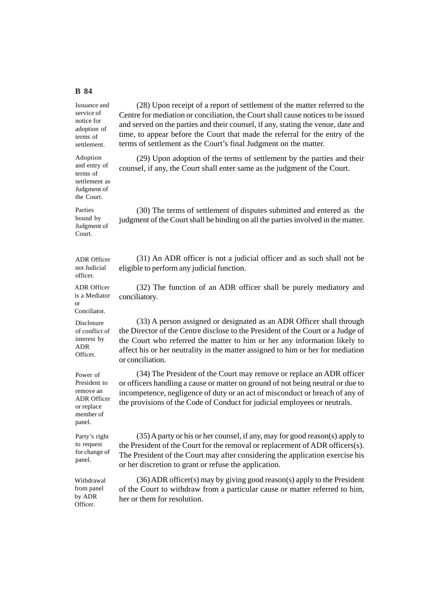Issuance and service of notice for adoption of terms of settlement.

Adoption and entry of terms of settlement as Judgment of the Court.

Parties bound by Judgment of Court.

ADR Officer not Judicial officer.

ADR Officer is a Mediator or Conciliator.

Disclosure of conflict of interest by ADR Officer.

Power of President to remove an ADR Officer or replace member of panel.

Party's right to request for change of panel.

Withdrawal from panel by ADR Officer.

(28) Upon receipt of a report of settlement of the matter referred to the Centre for mediation or conciliation, the Court shall cause notices to be issued and served on the parties and their counsel, if any, stating the venue, date and time, to appear before the Court that made the referral for the entry of the terms of settlement as the Court's final Judgment on the matter.

(29) Upon adoption of the terms of settlement by the parties and their counsel, if any, the Court shall enter same as the judgment of the Court.

(30) The terms of settlement of disputes submitted and entered as the judgment of the Court shall be binding on all the parties involved in the matter.

(31) An ADR officer is not a judicial officer and as such shall not be eligible to perform any judicial function.

(32) The function of an ADR officer shall be purely mediatory and conciliatory.

(33) A person assigned or designated as an ADR Officer shall through the Director of the Centre disclose to the President of the Court or a Judge of the Court who referred the matter to him or her any information likely to affect his or her neutrality in the matter assigned to him or her for mediation or conciliation.

(34) The President of the Court may remove or replace an ADR officer or officers handling a cause or matter on ground of not being neutral or due to incompetence, negligence of duty or an act of misconduct or breach of any of the provisions of the Code of Conduct for judicial employees or neutrals.

(35) A party or his or her counsel, if any, may for good reason(s) apply to the President of the Court for the removal or replacement of ADR officers(s). The President of the Court may after considering the application exercise his or her discretion to grant or refuse the application.

(36) ADR officer(s) may by giving good reason(s) apply to the President of the Court to withdraw from a particular cause or matter referred to him, her or them for resolution.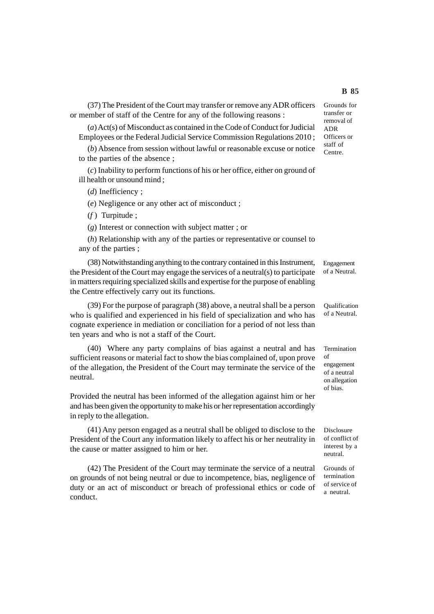(37) The President of the Court may transfer or remove any ADR officers or member of staff of the Centre for any of the following reasons :

(*a*) Act(s) of Misconduct as contained in the Code of Conduct for Judicial Employees or the Federal Judicial Service Commission Regulations 2010 ;

(*b*) Absence from session without lawful or reasonable excuse or notice to the parties of the absence ;

(*c*) Inability to perform functions of his or her office, either on ground of ill health or unsound mind ;

(*d*) Inefficiency ;

(*e*) Negligence or any other act of misconduct ;

(*f* ) Turpitude ;

(*g*) Interest or connection with subject matter ; or

(*h*) Relationship with any of the parties or representative or counsel to any of the parties ;

(38) Notwithstanding anything to the contrary contained in this Instrument, the President of the Court may engage the services of a neutral(s) to participate in matters requiring specialized skills and expertise for the purpose of enabling the Centre effectively carry out its functions.

(39) For the purpose of paragraph (38) above, a neutral shall be a person who is qualified and experienced in his field of specialization and who has cognate experience in mediation or conciliation for a period of not less than ten years and who is not a staff of the Court.

(40) Where any party complains of bias against a neutral and has sufficient reasons or material fact to show the bias complained of, upon prove of the allegation, the President of the Court may terminate the service of the neutral.

Provided the neutral has been informed of the allegation against him or her and has been given the opportunity to make his or her representation accordingly in reply to the allegation.

(41) Any person engaged as a neutral shall be obliged to disclose to the President of the Court any information likely to affect his or her neutrality in the cause or matter assigned to him or her.

(42) The President of the Court may terminate the service of a neutral on grounds of not being neutral or due to incompetence, bias, negligence of duty or an act of misconduct or breach of professional ethics or code of conduct.

Grounds for transfer or removal of ADR Officers or staff of Centre.

Engagement of a Neutral.

Qualification of a Neutral.

Termination of engagement of a neutral on allegation of bias.

Disclosure of conflict of interest by a neutral.

Grounds of termination of service of a neutral.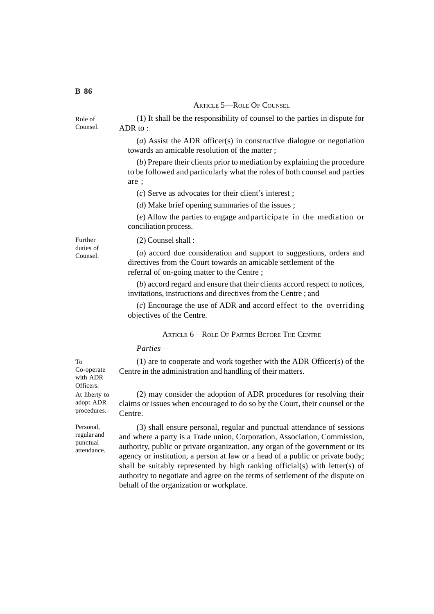## ARTICLE 5-ROLE OF COUNSEL

(1) It shall be the responsibility of counsel to the parties in dispute for ADR to :

(*a*) Assist the ADR officer(s) in constructive dialogue or negotiation towards an amicable resolution of the matter ;

(*b*) Prepare their clients prior to mediation by explaining the procedure to be followed and particularly what the roles of both counsel and parties are ;

(*c*) Serve as advocates for their client's interest ;

(*d*) Make brief opening summaries of the issues ;

(*e*) Allow the parties to engage andparticipate in the mediation or conciliation process.

Further duties of Counsel.

(2) Counsel shall :

(*a*) accord due consideration and support to suggestions, orders and directives from the Court towards an amicable settlement of the referral of on-going matter to the Centre ;

(*b*) accord regard and ensure that their clients accord respect to notices, invitations, instructions and directives from the Centre ; and

(*c*) Encourage the use of ADR and accord effect to the overriding objectives of the Centre.

ARTICLE 6-ROLE OF PARTIES BEFORE THE CENTRE

*Parties*—

(1) are to cooperate and work together with the ADR Officer(s) of the Centre in the administration and handling of their matters.

(2) may consider the adoption of ADR procedures for resolving their claims or issues when encouraged to do so by the Court, their counsel or the Centre.

(3) shall ensure personal, regular and punctual attendance of sessions and where a party is a Trade union, Corporation, Association, Commission, authority, public or private organization, any organ of the government or its agency or institution, a person at law or a head of a public or private body; shall be suitably represented by high ranking official(s) with letter(s) of authority to negotiate and agree on the terms of settlement of the dispute on behalf of the organization or workplace.

To Co-operate with ADR Officers. At liberty to adopt ADR procedures.

Personal, regular and punctual attendance.

Role of Counsel.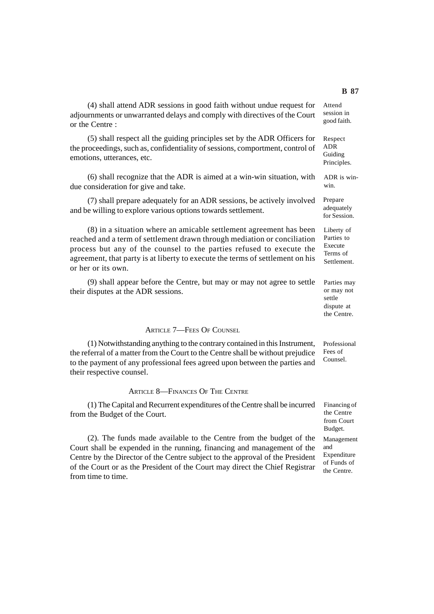(4) shall attend ADR sessions in good faith without undue request for adjournments or unwarranted delays and comply with directives of the Court or the Centre : Attend

(5) shall respect all the guiding principles set by the ADR Officers for the proceedings, such as, confidentiality of sessions, comportment, control of emotions, utterances, etc.

(6) shall recognize that the ADR is aimed at a win-win situation, with due consideration for give and take.

(7) shall prepare adequately for an ADR sessions, be actively involved and be willing to explore various options towards settlement.

(8) in a situation where an amicable settlement agreement has been reached and a term of settlement drawn through mediation or conciliation process but any of the counsel to the parties refused to execute the agreement, that party is at liberty to execute the terms of settlement on his or her or its own.

(9) shall appear before the Centre, but may or may not agree to settle their disputes at the ADR sessions.

## ARTICLE 7—FEES OF COUNSEL

(1) Notwithstanding anything to the contrary contained in this Instrument, the referral of a matter from the Court to the Centre shall be without prejudice to the payment of any professional fees agreed upon between the parties and their respective counsel.

#### ARTICLE 8—FINANCES OF THE CENTRE

(1) The Capital and Recurrent expenditures of the Centre shall be incurred from the Budget of the Court.

(2). The funds made available to the Centre from the budget of the Court shall be expended in the running, financing and management of the Centre by the Director of the Centre subject to the approval of the President of the Court or as the President of the Court may direct the Chief Registrar from time to time.

session in good faith.

Respect ADR Guiding Principles.

ADR is winwin.

Prepare adequately for Session.

Liberty of Parties to Execute Terms of **Settlement** 

Parties may or may not settle dispute at the Centre.

Professional Fees of Counsel.

Financing of the Centre from Court Budget.

Management and Expenditure of Funds of the Centre.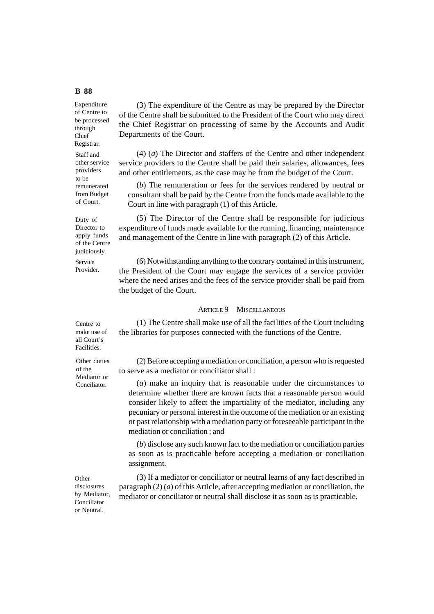of Centre to be processed through Chief Registrar. Staff and other service providers to be remunerated from Budget of Court.

Duty of Director to apply funds of the Centre judiciously.

Service Provider.

Centre to make use of all Court's Facilities.

(3) The expenditure of the Centre as may be prepared by the Director of the Centre shall be submitted to the President of the Court who may direct the Chief Registrar on processing of same by the Accounts and Audit Departments of the Court.

(4) (*a*) The Director and staffers of the Centre and other independent service providers to the Centre shall be paid their salaries, allowances, fees and other entitlements, as the case may be from the budget of the Court.

(*b*) The remuneration or fees for the services rendered by neutral or consultant shall be paid by the Centre from the funds made available to the Court in line with paragraph (1) of this Article.

(5) The Director of the Centre shall be responsible for judicious expenditure of funds made available for the running, financing, maintenance and management of the Centre in line with paragraph (2) of this Article.

(6) Notwithstanding anything to the contrary contained in this instrument, the President of the Court may engage the services of a service provider where the need arises and the fees of the service provider shall be paid from the budget of the Court.

# ARTICLE 9—MISCELLANEOUS

(1) The Centre shall make use of all the facilities of the Court including the libraries for purposes connected with the functions of the Centre.

Other duties of the Mediator or Conciliator.

(2) Before accepting a mediation or conciliation, a person who is requested to serve as a mediator or conciliator shall :

(*a*) make an inquiry that is reasonable under the circumstances to determine whether there are known facts that a reasonable person would consider likely to affect the impartiality of the mediator, including any pecuniary or personal interest in the outcome of the mediation or an existing or past relationship with a mediation party or foreseeable participant in the mediation or conciliation ; and

(*b*) disclose any such known fact to the mediation or conciliation parties as soon as is practicable before accepting a mediation or conciliation assignment.

(3) If a mediator or conciliator or neutral learns of any fact described in paragraph (2) (*a*) of this Article, after accepting mediation or conciliation, the mediator or conciliator or neutral shall disclose it as soon as is practicable.

Other disclosures by Mediator, Conciliator or Neutral.

## **B 88**

Expenditure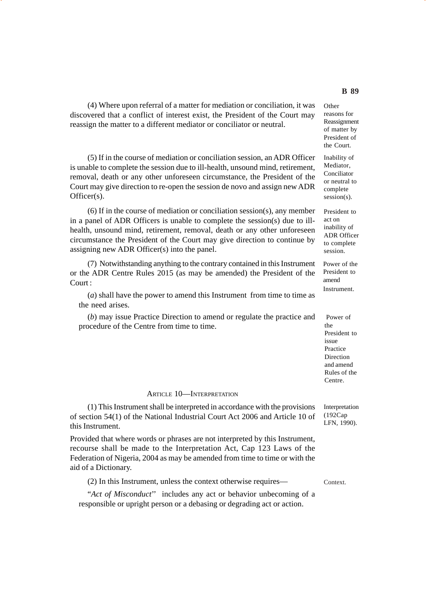(4) Where upon referral of a matter for mediation or conciliation, it was discovered that a conflict of interest exist, the President of the Court may reassign the matter to a different mediator or conciliator or neutral.

(5) If in the course of mediation or conciliation session, an ADR Officer is unable to complete the session due to ill-health, unsound mind, retirement, removal, death or any other unforeseen circumstance, the President of the Court may give direction to re-open the session de novo and assign new ADR Officer(s).

(6) If in the course of mediation or conciliation session(s), any member in a panel of ADR Officers is unable to complete the session(s) due to illhealth, unsound mind, retirement, removal, death or any other unforeseen circumstance the President of the Court may give direction to continue by assigning new ADR Officer(s) into the panel.

(7) Notwithstanding anything to the contrary contained in this Instrument or the ADR Centre Rules 2015 (as may be amended) the President of the Court :

(*a*) shall have the power to amend this Instrument from time to time as the need arises.

(*b*) may issue Practice Direction to amend or regulate the practice and procedure of the Centre from time to time.

#### ARTICLE 10—INTERPRETATION

(1) This Instrument shall be interpreted in accordance with the provisions of section 54(1) of the National Industrial Court Act 2006 and Article 10 of this Instrument.

Provided that where words or phrases are not interpreted by this Instrument, recourse shall be made to the Interpretation Act, Cap 123 Laws of the Federation of Nigeria, 2004 as may be amended from time to time or with the aid of a Dictionary.

(2) In this Instrument, unless the context otherwise requires—

"*Act of Misconduct*'' includes any act or behavior unbecoming of a responsible or upright person or a debasing or degrading act or action.

**Other** reasons for Reassignment of matter by President of the Court.

Inability of Mediator, Conciliator or neutral to complete session(s).

President to act on inability of ADR Officer to complete session.

Power of the President to amend Instrument.

Power of the President to issue Practice Direction and amend Rules of the Centre.

Interpretation (192Cap LFN, 1990).

Context.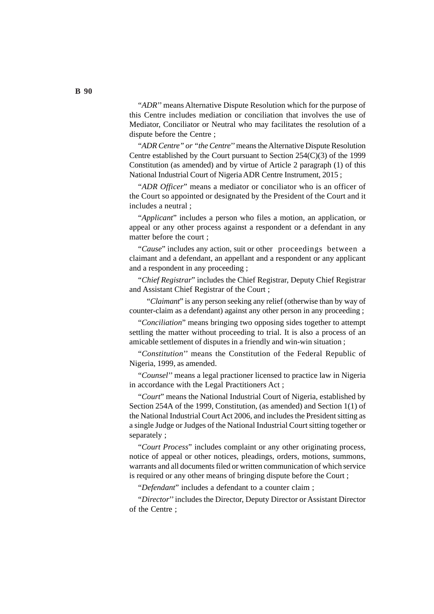"*ADR*'' means Alternative Dispute Resolution which for the purpose of this Centre includes mediation or conciliation that involves the use of Mediator, Conciliator or Neutral who may facilitates the resolution of a dispute before the Centre ;

"*ADR Centre" or "the Centre*'' means the Alternative Dispute Resolution Centre established by the Court pursuant to Section 254(C)(3) of the 1999 Constitution (as amended) and by virtue of Article 2 paragraph (1) of this National Industrial Court of Nigeria ADR Centre Instrument, 2015 ;

"*ADR Officer*" means a mediator or conciliator who is an officer of the Court so appointed or designated by the President of the Court and it includes a neutral ;

"*Applicant*" includes a person who files a motion, an application, or appeal or any other process against a respondent or a defendant in any matter before the court ;

"*Cause*" includes any action, suit or other proceedings between a claimant and a defendant, an appellant and a respondent or any applicant and a respondent in any proceeding ;

"*Chief Registrar*" includes the Chief Registrar, Deputy Chief Registrar and Assistant Chief Registrar of the Court ;

"*Claimant*" is any person seeking any relief (otherwise than by way of counter-claim as a defendant) against any other person in any proceeding ;

"*Conciliation*" means bringing two opposing sides together to attempt settling the matter without proceeding to trial. It is also a process of an amicable settlement of disputes in a friendly and win-win situation ;

"*Constitution*'' means the Constitution of the Federal Republic of Nigeria, 1999, as amended.

"*Counsel*'' means a legal practioner licensed to practice law in Nigeria in accordance with the Legal Practitioners Act ;

"*Court*" means the National Industrial Court of Nigeria, established by Section 254A of the 1999, Constitution, (as amended) and Section 1(1) of the National Industrial Court Act 2006, and includes the President sitting as a single Judge or Judges of the National Industrial Court sitting together or separately ;

"*Court Process*" includes complaint or any other originating process, notice of appeal or other notices, pleadings, orders, motions, summons, warrants and all documents filed or written communication of which service is required or any other means of bringing dispute before the Court ;

"*Defendant*" includes a defendant to a counter claim ;

"*Director*'' includes the Director, Deputy Director or Assistant Director of the Centre ;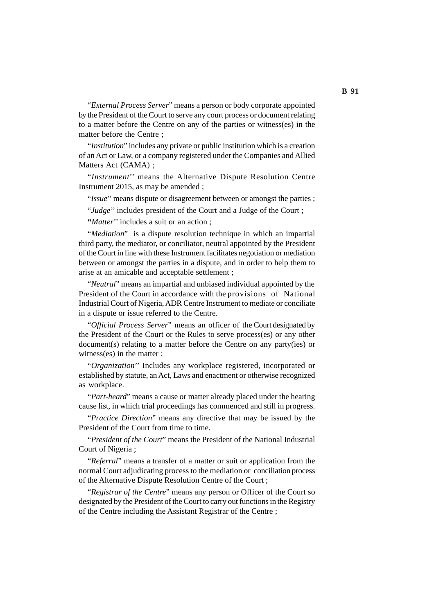"*External Process Server*" means a person or body corporate appointed by the President of the Court to serve any court process or document relating to a matter before the Centre on any of the parties or witness(es) in the matter before the Centre ;

"*Institution*" includes any private or public institution which is a creation of an Act or Law, or a company registered under the Companies and Allied Matters Act (CAMA) ;

"*Instrument*'' means the Alternative Dispute Resolution Centre Instrument 2015, as may be amended ;

"*Issue*'' means dispute or disagreement between or amongst the parties ;

"*Judge*" includes president of the Court and a Judge of the Court;

**"***Matter*'' includes a suit or an action ;

"*Mediation*" is a dispute resolution technique in which an impartial third party, the mediator, or conciliator, neutral appointed by the President of the Court in line with these Instrument facilitates negotiation or mediation between or amongst the parties in a dispute, and in order to help them to arise at an amicable and acceptable settlement ;

"*Neutral*" means an impartial and unbiased individual appointed by the President of the Court in accordance with the provisions of National Industrial Court of Nigeria, ADR Centre Instrument to mediate or conciliate in a dispute or issue referred to the Centre.

"*Official Process Server*" means an officer of the Court designated by the President of the Court or the Rules to serve process(es) or any other document(s) relating to a matter before the Centre on any party(ies) or witness(es) in the matter ;

"*Organization*'' Includes any workplace registered, incorporated or established by statute, an Act, Laws and enactment or otherwise recognized as workplace.

"*Part-heard*" means a cause or matter already placed under the hearing cause list, in which trial proceedings has commenced and still in progress.

"*Practice Direction*" means any directive that may be issued by the President of the Court from time to time.

"*President of the Court*" means the President of the National Industrial Court of Nigeria ;

"*Referral*" means a transfer of a matter or suit or application from the normal Court adjudicating process to the mediation or conciliation process of the Alternative Dispute Resolution Centre of the Court ;

"*Registrar of the Centre*" means any person or Officer of the Court so designated by the President of the Court to carry out functions in the Registry of the Centre including the Assistant Registrar of the Centre ;